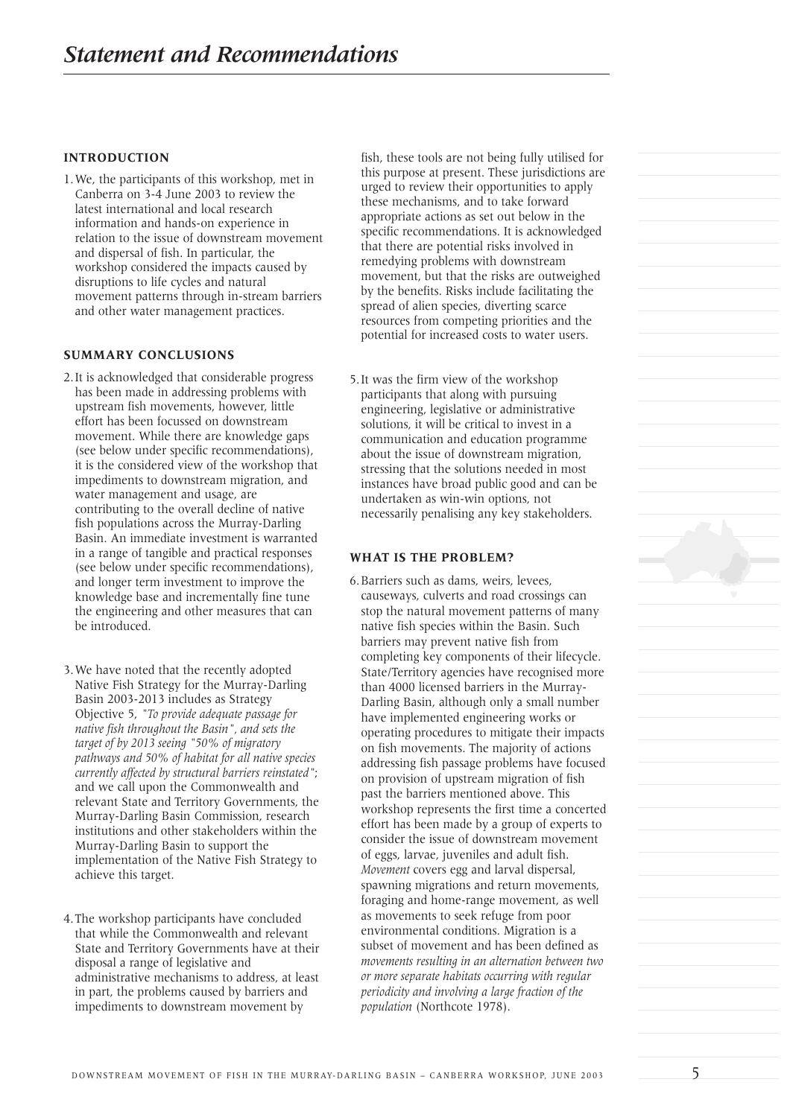#### **INTRODUCTION**

1.We, the participants of this workshop, met in Canberra on 3-4 June 2003 to review the latest international and local research information and hands-on experience in relation to the issue of downstream movement and dispersal of fish. In particular, the workshop considered the impacts caused by disruptions to life cycles and natural movement patterns through in-stream barriers and other water management practices.

#### **SUMMARY CONCLUSIONS**

- 2.It is acknowledged that considerable progress has been made in addressing problems with upstream fish movements, however, little effort has been focussed on downstream movement. While there are knowledge gaps (see below under specific recommendations), it is the considered view of the workshop that impediments to downstream migration, and water management and usage, are contributing to the overall decline of native fish populations across the Murray-Darling Basin. An immediate investment is warranted in a range of tangible and practical responses (see below under specific recommendations), and longer term investment to improve the knowledge base and incrementally fine tune the engineering and other measures that can be introduced.
- 3.We have noted that the recently adopted Native Fish Strategy for the Murray-Darling Basin 2003-2013 includes as Strategy Objective 5, *"To provide adequate passage for native fish throughout the Basin", and sets the target of by 2013 seeing "50% of migratory pathways and 50% of habitat for all native species currently affected by structural barriers reinstated"*; and we call upon the Commonwealth and relevant State and Territory Governments, the Murray-Darling Basin Commission, research institutions and other stakeholders within the Murray-Darling Basin to support the implementation of the Native Fish Strategy to achieve this target.
- 4.The workshop participants have concluded that while the Commonwealth and relevant State and Territory Governments have at their disposal a range of legislative and administrative mechanisms to address, at least in part, the problems caused by barriers and impediments to downstream movement by

fish, these tools are not being fully utilised for this purpose at present. These jurisdictions are urged to review their opportunities to apply these mechanisms, and to take forward appropriate actions as set out below in the specific recommendations. It is acknowledged that there are potential risks involved in remedying problems with downstream movement, but that the risks are outweighed by the benefits. Risks include facilitating the spread of alien species, diverting scarce resources from competing priorities and the potential for increased costs to water users.

5.It was the firm view of the workshop participants that along with pursuing engineering, legislative or administrative solutions, it will be critical to invest in a communication and education programme about the issue of downstream migration, stressing that the solutions needed in most instances have broad public good and can be undertaken as win-win options, not necessarily penalising any key stakeholders.

#### **WHAT IS THE PROBLEM?**

6.Barriers such as dams, weirs, levees, causeways, culverts and road crossings can stop the natural movement patterns of many native fish species within the Basin. Such barriers may prevent native fish from completing key components of their lifecycle. State/Territory agencies have recognised more than 4000 licensed barriers in the Murray-Darling Basin, although only a small number have implemented engineering works or operating procedures to mitigate their impacts on fish movements. The majority of actions addressing fish passage problems have focused on provision of upstream migration of fish past the barriers mentioned above. This workshop represents the first time a concerted effort has been made by a group of experts to consider the issue of downstream movement of eggs, larvae, juveniles and adult fish. *Movement* covers egg and larval dispersal, spawning migrations and return movements, foraging and home-range movement, as well as movements to seek refuge from poor environmental conditions. Migration is a subset of movement and has been defined as *movements resulting in an alternation between two or more separate habitats occurring with regular periodicity and involving a large fraction of the population* (Northcote 1978).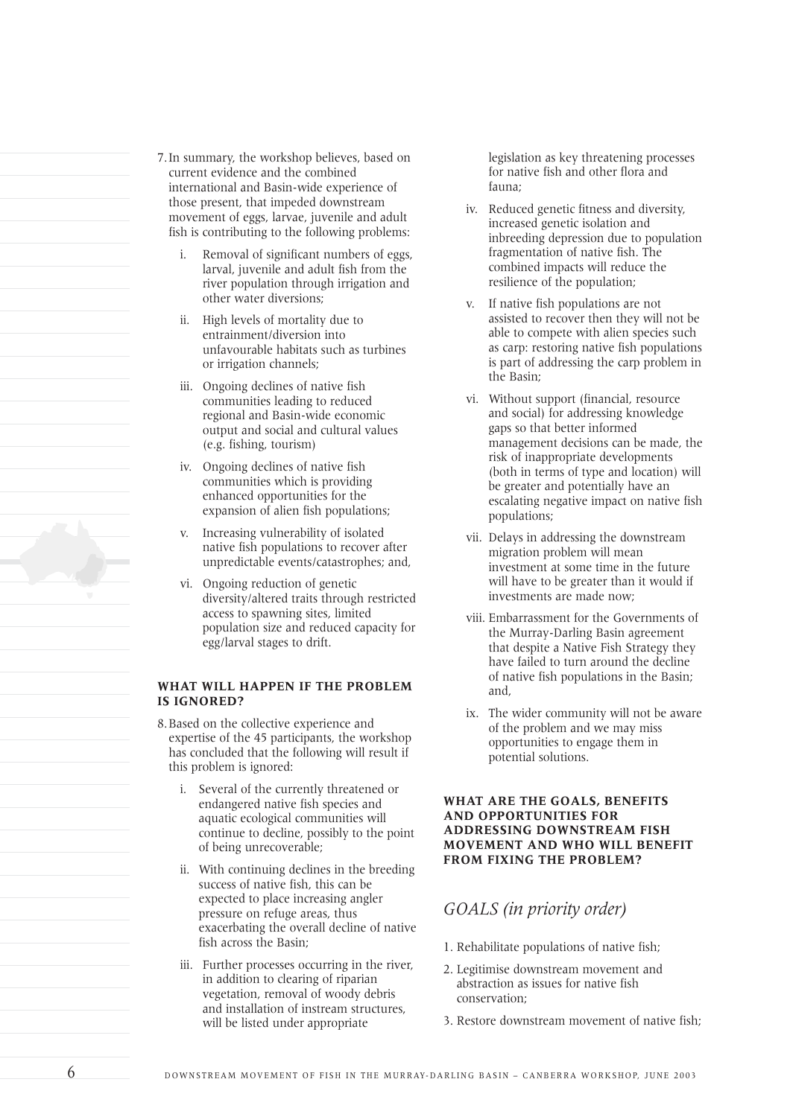- 7.In summary, the workshop believes, based on current evidence and the combined international and Basin-wide experience of those present, that impeded downstream movement of eggs, larvae, juvenile and adult fish is contributing to the following problems:
	- i. Removal of significant numbers of eggs, larval, juvenile and adult fish from the river population through irrigation and other water diversions;
	- ii. High levels of mortality due to entrainment/diversion into unfavourable habitats such as turbines or irrigation channels;
	- iii. Ongoing declines of native fish communities leading to reduced regional and Basin-wide economic output and social and cultural values (e.g. fishing, tourism)
	- iv. Ongoing declines of native fish communities which is providing enhanced opportunities for the expansion of alien fish populations;
	- v. Increasing vulnerability of isolated native fish populations to recover after unpredictable events/catastrophes; and,
	- vi. Ongoing reduction of genetic diversity/altered traits through restricted access to spawning sites, limited population size and reduced capacity for egg/larval stages to drift.

#### **WHAT WILL HAPPEN IF THE PROBLEM IS IGNORED?**

- 8.Based on the collective experience and expertise of the 45 participants, the workshop has concluded that the following will result if this problem is ignored:
	- i. Several of the currently threatened or endangered native fish species and aquatic ecological communities will continue to decline, possibly to the point of being unrecoverable;
	- ii. With continuing declines in the breeding success of native fish, this can be expected to place increasing angler pressure on refuge areas, thus exacerbating the overall decline of native fish across the Basin;
	- iii. Further processes occurring in the river, in addition to clearing of riparian vegetation, removal of woody debris and installation of instream structures, will be listed under appropriate

legislation as key threatening processes for native fish and other flora and fauna;

- iv. Reduced genetic fitness and diversity, increased genetic isolation and inbreeding depression due to population fragmentation of native fish. The combined impacts will reduce the resilience of the population;
- v. If native fish populations are not assisted to recover then they will not be able to compete with alien species such as carp: restoring native fish populations is part of addressing the carp problem in the Basin;
- vi. Without support (financial, resource and social) for addressing knowledge gaps so that better informed management decisions can be made, the risk of inappropriate developments (both in terms of type and location) will be greater and potentially have an escalating negative impact on native fish populations;
- vii. Delays in addressing the downstream migration problem will mean investment at some time in the future will have to be greater than it would if investments are made now;
- viii. Embarrassment for the Governments of the Murray-Darling Basin agreement that despite a Native Fish Strategy they have failed to turn around the decline of native fish populations in the Basin; and,
- ix. The wider community will not be aware of the problem and we may miss opportunities to engage them in potential solutions.

#### **WHAT ARE THE GOALS, BENEFITS AND OPPORTUNITIES FOR ADDRESSING DOWNSTREAM FISH MOVEMENT AND WHO WILL BENEFIT FROM FIXING THE PROBLEM?**

# *GOALS (in priority order)*

- 1. Rehabilitate populations of native fish;
- 2. Legitimise downstream movement and abstraction as issues for native fish conservation;
- 3. Restore downstream movement of native fish;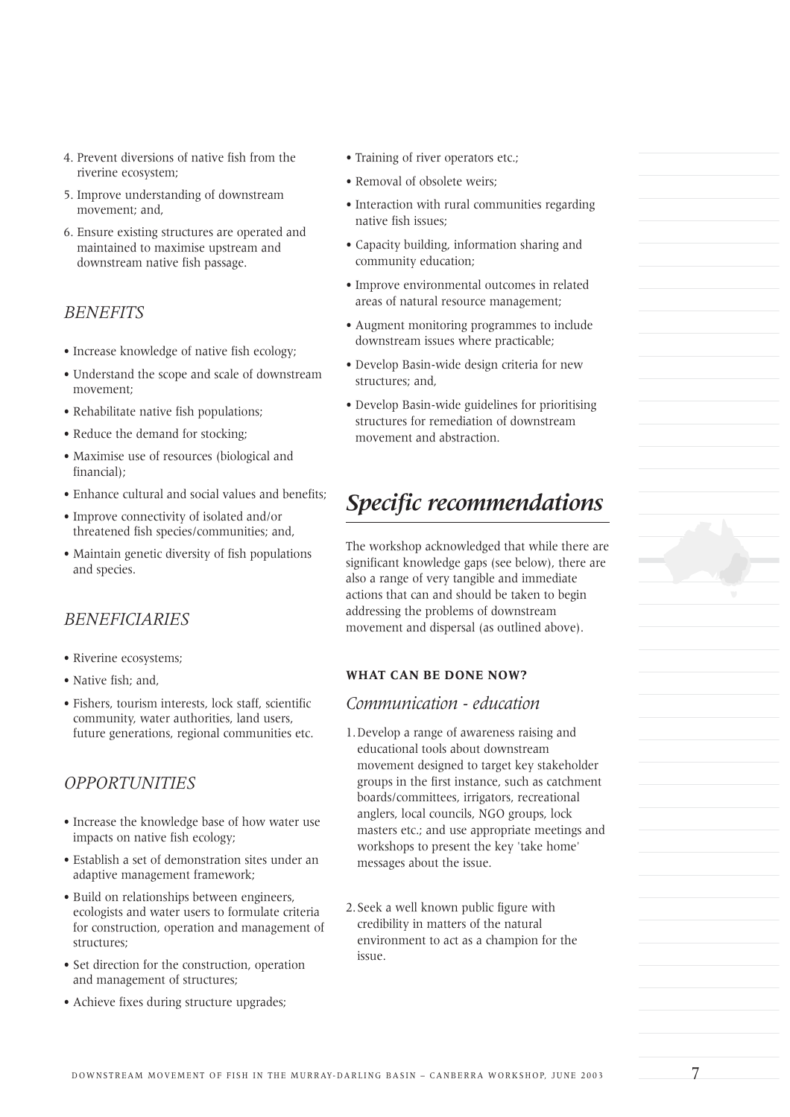- 4. Prevent diversions of native fish from the riverine ecosystem;
- 5. Improve understanding of downstream movement; and,
- 6. Ensure existing structures are operated and maintained to maximise upstream and downstream native fish passage.

# *BENEFITS*

- Increase knowledge of native fish ecology;
- Understand the scope and scale of downstream movement;
- Rehabilitate native fish populations;
- Reduce the demand for stocking;
- Maximise use of resources (biological and financial);
- Enhance cultural and social values and benefits;
- Improve connectivity of isolated and/or threatened fish species/communities; and,
- Maintain genetic diversity of fish populations and species.

# *BENEFICIARIES*

- Riverine ecosystems;
- Native fish; and,
- Fishers, tourism interests, lock staff, scientific community, water authorities, land users, future generations, regional communities etc.

# *OPPORTUNITIES*

- Increase the knowledge base of how water use impacts on native fish ecology;
- Establish a set of demonstration sites under an adaptive management framework;
- Build on relationships between engineers, ecologists and water users to formulate criteria for construction, operation and management of structures;
- Set direction for the construction, operation and management of structures;
- Achieve fixes during structure upgrades;
- Training of river operators etc.;
- Removal of obsolete weirs;
- Interaction with rural communities regarding native fish issues;
- Capacity building, information sharing and community education;
- Improve environmental outcomes in related areas of natural resource management;
- Augment monitoring programmes to include downstream issues where practicable;
- Develop Basin-wide design criteria for new structures; and,
- Develop Basin-wide guidelines for prioritising structures for remediation of downstream movement and abstraction.

# *Specific recommendations*

The workshop acknowledged that while there are significant knowledge gaps (see below), there are also a range of very tangible and immediate actions that can and should be taken to begin addressing the problems of downstream movement and dispersal (as outlined above).

#### **WHAT CAN BE DONE NOW?**

## *Communication - education*

- 1.Develop a range of awareness raising and educational tools about downstream movement designed to target key stakeholder groups in the first instance, such as catchment boards/committees, irrigators, recreational anglers, local councils, NGO groups, lock masters etc.; and use appropriate meetings and workshops to present the key 'take home' messages about the issue.
- 2.Seek a well known public figure with credibility in matters of the natural environment to act as a champion for the issue.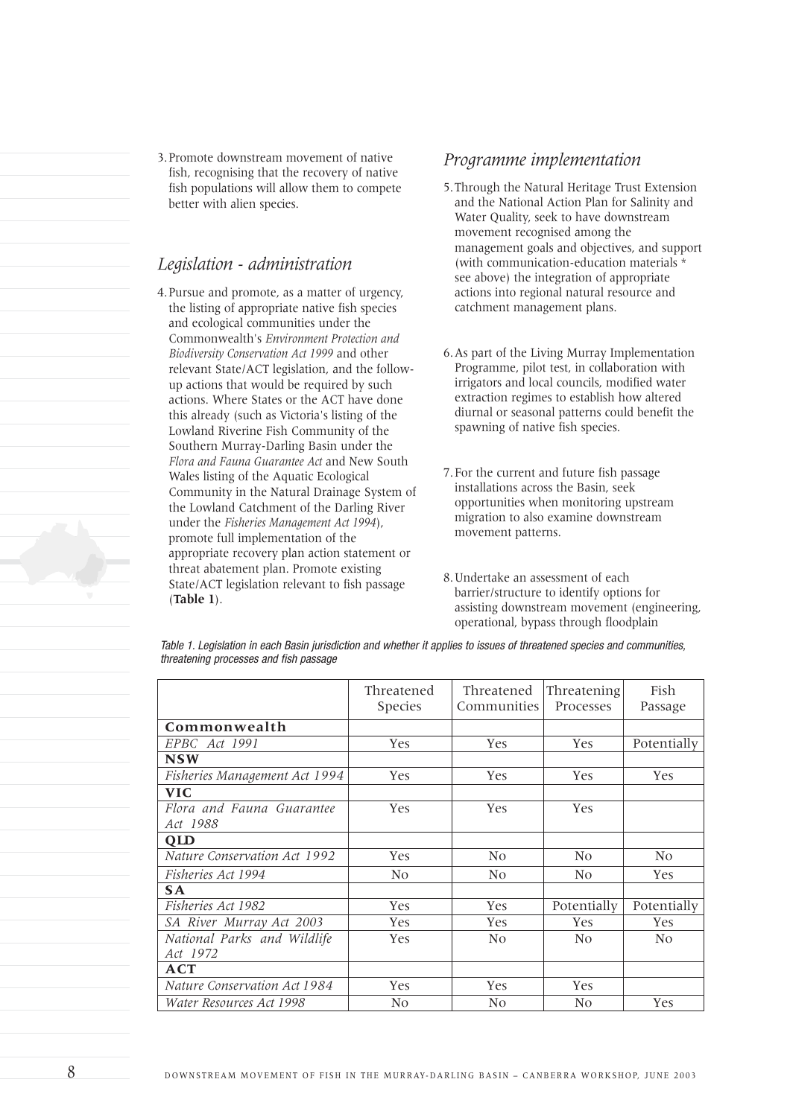3.Promote downstream movement of native fish, recognising that the recovery of native fish populations will allow them to compete better with alien species.

# *Legislation - administration*

4.Pursue and promote, as a matter of urgency, the listing of appropriate native fish species and ecological communities under the Commonwealth's *Environment Protection and Biodiversity Conservation Act 1999* and other relevant State/ACT legislation, and the followup actions that would be required by such actions. Where States or the ACT have done this already (such as Victoria's listing of the Lowland Riverine Fish Community of the Southern Murray-Darling Basin under the *Flora and Fauna Guarantee Act* and New South Wales listing of the Aquatic Ecological Community in the Natural Drainage System of the Lowland Catchment of the Darling River under the *Fisheries Management Act 1994*), promote full implementation of the appropriate recovery plan action statement or threat abatement plan. Promote existing State/ACT legislation relevant to fish passage (**Table 1**).

## *Programme implementation*

- 5.Through the Natural Heritage Trust Extension and the National Action Plan for Salinity and Water Quality, seek to have downstream movement recognised among the management goals and objectives, and support (with communication-education materials \* see above) the integration of appropriate actions into regional natural resource and catchment management plans.
- 6.As part of the Living Murray Implementation Programme, pilot test, in collaboration with irrigators and local councils, modified water extraction regimes to establish how altered diurnal or seasonal patterns could benefit the spawning of native fish species.
- 7.For the current and future fish passage installations across the Basin, seek opportunities when monitoring upstream migration to also examine downstream movement patterns.
- 8.Undertake an assessment of each barrier/structure to identify options for assisting downstream movement (engineering, operational, bypass through floodplain

*Table 1. Legislation in each Basin jurisdiction and whether it applies to issues of threatened species and communities, threatening processes and fish passage* 

|                               | Threatened<br>Species | Threatened<br>Communities | Threatening<br>Processes | Fish<br>Passage |
|-------------------------------|-----------------------|---------------------------|--------------------------|-----------------|
| Commonwealth                  |                       |                           |                          |                 |
| EPBC Act 1991                 | Yes                   | Yes                       | Yes                      | Potentially     |
| <b>NSW</b>                    |                       |                           |                          |                 |
| Fisheries Management Act 1994 | Yes                   | Yes                       | Yes                      | Yes             |
| <b>VIC</b>                    |                       |                           |                          |                 |
| Flora and Fauna Guarantee     | <b>Yes</b>            | Yes                       | Yes                      |                 |
| Act 1988                      |                       |                           |                          |                 |
| QLD                           |                       |                           |                          |                 |
| Nature Conservation Act 1992  | <b>Yes</b>            | N <sub>0</sub>            | N <sub>0</sub>           | N <sub>0</sub>  |
| Fisheries Act 1994            | N <sub>0</sub>        | N <sub>0</sub>            | N <sub>0</sub>           | Yes             |
| <b>SA</b>                     |                       |                           |                          |                 |
| Fisheries Act 1982            | Yes                   | <b>Yes</b>                | Potentially              | Potentially     |
| SA River Murray Act 2003      | Yes                   | <b>Yes</b>                | Yes                      | <b>Yes</b>      |
| National Parks and Wildlife   | <b>Yes</b>            | N <sub>0</sub>            | N <sub>0</sub>           | N <sub>0</sub>  |
| Act 1972                      |                       |                           |                          |                 |
| ACT                           |                       |                           |                          |                 |
| Nature Conservation Act 1984  | Yes                   | Yes                       | Yes                      |                 |
| Water Resources Act 1998      | No                    | N <sub>0</sub>            | N <sub>0</sub>           | Yes             |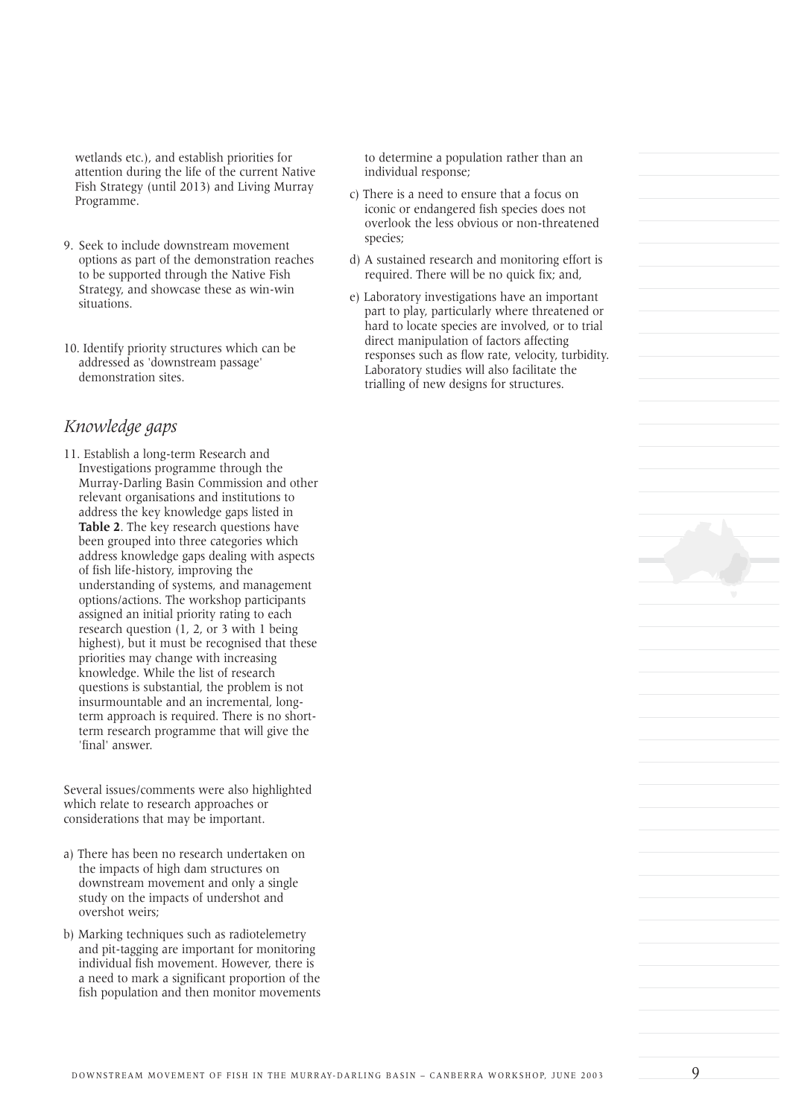wetlands etc.), and establish priorities for attention during the life of the current Native Fish Strategy (until 2013) and Living Murray Programme.

- 9. Seek to include downstream movement options as part of the demonstration reaches to be supported through the Native Fish Strategy, and showcase these as win-win situations.
- 10. Identify priority structures which can be addressed as 'downstream passage' demonstration sites.

# *Knowledge gaps*

11. Establish a long-term Research and Investigations programme through the Murray-Darling Basin Commission and other relevant organisations and institutions to address the key knowledge gaps listed in **Table 2**. The key research questions have been grouped into three categories which address knowledge gaps dealing with aspects of fish life-history, improving the understanding of systems, and management options/actions. The workshop participants assigned an initial priority rating to each research question (1, 2, or 3 with 1 being highest), but it must be recognised that these priorities may change with increasing knowledge. While the list of research questions is substantial, the problem is not insurmountable and an incremental, longterm approach is required. There is no shortterm research programme that will give the 'final' answer.

Several issues/comments were also highlighted which relate to research approaches or considerations that may be important.

- a) There has been no research undertaken on the impacts of high dam structures on downstream movement and only a single study on the impacts of undershot and overshot weirs;
- b) Marking techniques such as radiotelemetry and pit-tagging are important for monitoring individual fish movement. However, there is a need to mark a significant proportion of the fish population and then monitor movements

to determine a population rather than an individual response;

- c) There is a need to ensure that a focus on iconic or endangered fish species does not overlook the less obvious or non-threatened species;
- d) A sustained research and monitoring effort is required. There will be no quick fix; and,
- e) Laboratory investigations have an important part to play, particularly where threatened or hard to locate species are involved, or to trial direct manipulation of factors affecting responses such as flow rate, velocity, turbidity. Laboratory studies will also facilitate the trialling of new designs for structures.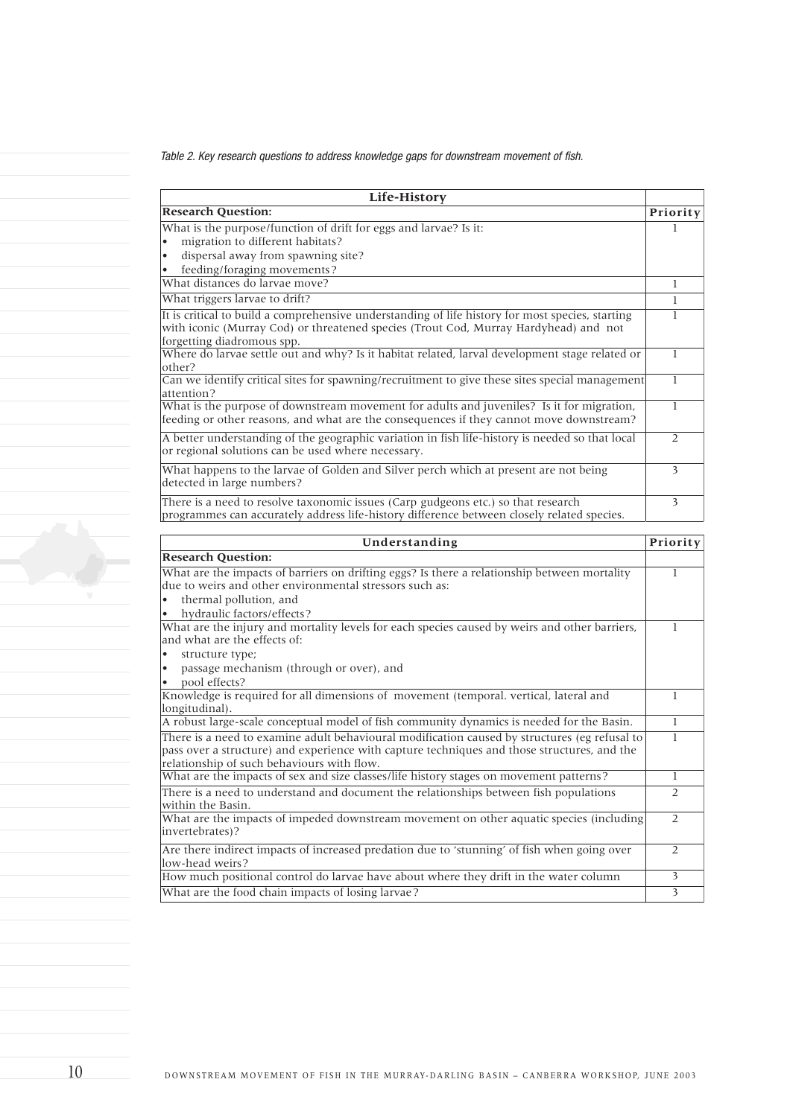*Table 2. Key research questions to address knowledge gaps for downstream movement of fish.*

| Life-History                                                                                                                                                                                                           |   |  |
|------------------------------------------------------------------------------------------------------------------------------------------------------------------------------------------------------------------------|---|--|
| <b>Research Question:</b><br>Priority                                                                                                                                                                                  |   |  |
| What is the purpose/function of drift for eggs and larvae? Is it:                                                                                                                                                      |   |  |
| migration to different habitats?                                                                                                                                                                                       |   |  |
| dispersal away from spawning site?<br>٠                                                                                                                                                                                |   |  |
| feeding/foraging movements?<br>٠                                                                                                                                                                                       |   |  |
| What distances do larvae move?                                                                                                                                                                                         |   |  |
| What triggers larvae to drift?                                                                                                                                                                                         |   |  |
| It is critical to build a comprehensive understanding of life history for most species, starting<br>with iconic (Murray Cod) or threatened species (Trout Cod, Murray Hardyhead) and not<br>forgetting diadromous spp. |   |  |
| Where do larvae settle out and why? Is it habitat related, larval development stage related or<br>other?                                                                                                               |   |  |
| Can we identify critical sites for spawning/recruitment to give these sites special management<br>attention?                                                                                                           |   |  |
| What is the purpose of downstream movement for adults and juveniles? Is it for migration,<br>feeding or other reasons, and what are the consequences if they cannot move downstream?                                   |   |  |
| A better understanding of the geographic variation in fish life-history is needed so that local<br>or regional solutions can be used where necessary.                                                                  | 2 |  |
| What happens to the larvae of Golden and Silver perch which at present are not being<br>detected in large numbers?                                                                                                     | 3 |  |
| There is a need to resolve taxonomic issues (Carp gudgeons etc.) so that research<br>programmes can accurately address life-history difference between closely related species.                                        | 3 |  |

| Understanding<br>Priority                                                                                                                                                                                                                  |                |  |
|--------------------------------------------------------------------------------------------------------------------------------------------------------------------------------------------------------------------------------------------|----------------|--|
| <b>Research Question:</b>                                                                                                                                                                                                                  |                |  |
| What are the impacts of barriers on drifting eggs? Is there a relationship between mortality<br>due to weirs and other environmental stressors such as:                                                                                    |                |  |
| thermal pollution, and<br>hydraulic factors/effects?<br>$\bullet$                                                                                                                                                                          |                |  |
| What are the injury and mortality levels for each species caused by weirs and other barriers,<br>and what are the effects of:                                                                                                              | 1              |  |
| structure type;<br>passage mechanism (through or over), and<br>$\bullet$<br>pool effects?<br>٠                                                                                                                                             |                |  |
| Knowledge is required for all dimensions of movement (temporal. vertical, lateral and<br>longitudinal).                                                                                                                                    |                |  |
| A robust large-scale conceptual model of fish community dynamics is needed for the Basin.                                                                                                                                                  | 1              |  |
| There is a need to examine adult behavioural modification caused by structures (eg refusal to<br>pass over a structure) and experience with capture techniques and those structures, and the<br>relationship of such behaviours with flow. | T              |  |
| What are the impacts of sex and size classes/life history stages on movement patterns?                                                                                                                                                     | 1              |  |
| There is a need to understand and document the relationships between fish populations<br>within the Basin.                                                                                                                                 | $\overline{2}$ |  |
| What are the impacts of impeded downstream movement on other aquatic species (including<br>invertebrates)?                                                                                                                                 | 2              |  |
| Are there indirect impacts of increased predation due to 'stunning' of fish when going over<br>low-head weirs?                                                                                                                             | $\overline{2}$ |  |
| How much positional control do larvae have about where they drift in the water column                                                                                                                                                      | 3              |  |
| What are the food chain impacts of losing larvae?                                                                                                                                                                                          | 3              |  |